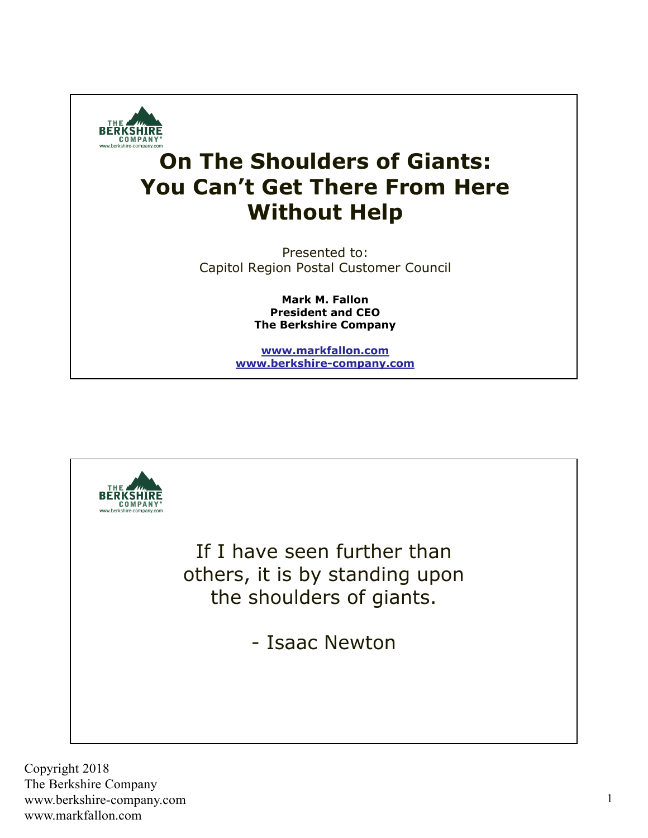

## **On The Shoulders of Giants: You Can't Get There From Here Without Help**

Presented to: Capitol Region Postal Customer Council

> **Mark M. Fallon President and CEO The Berkshire Company**

**www.markfallon.com www.berkshire-company.com**

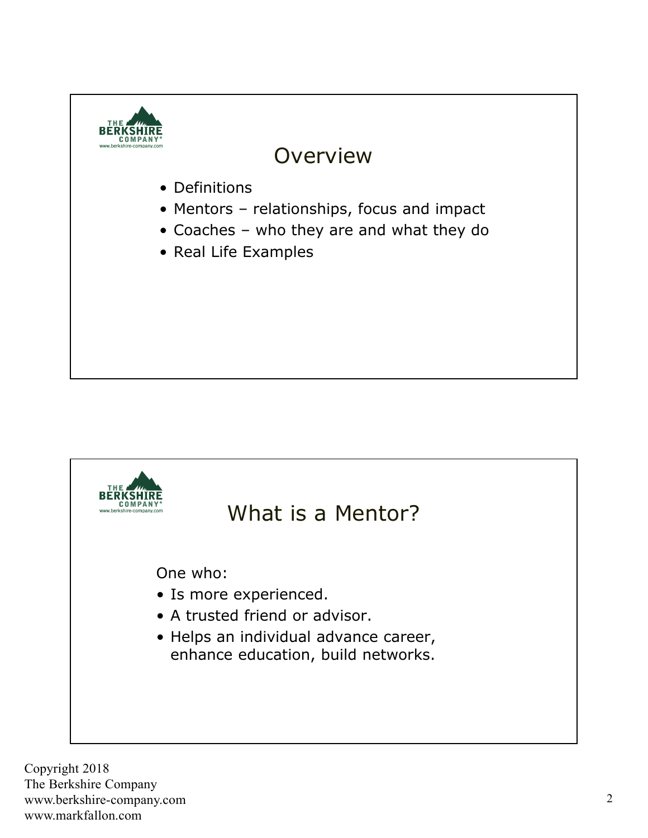

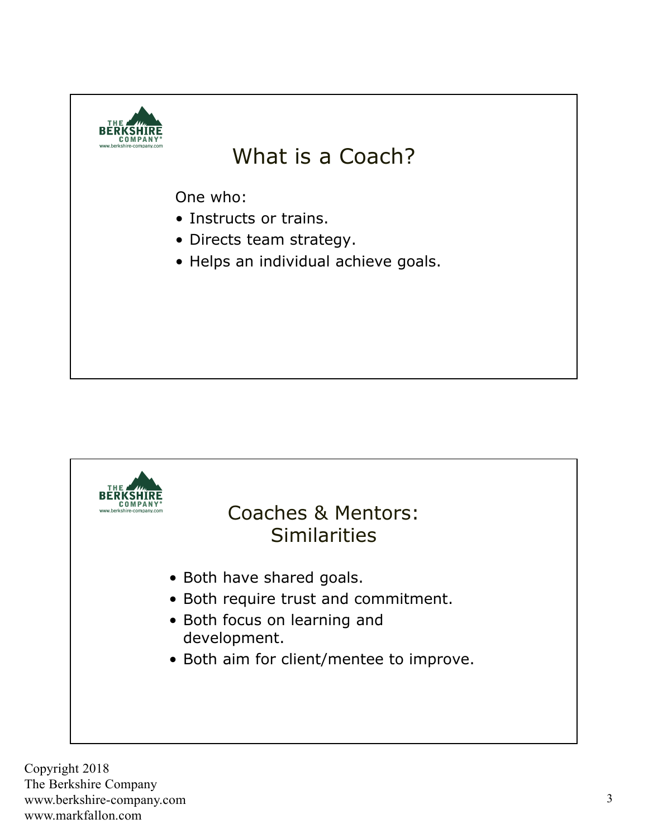

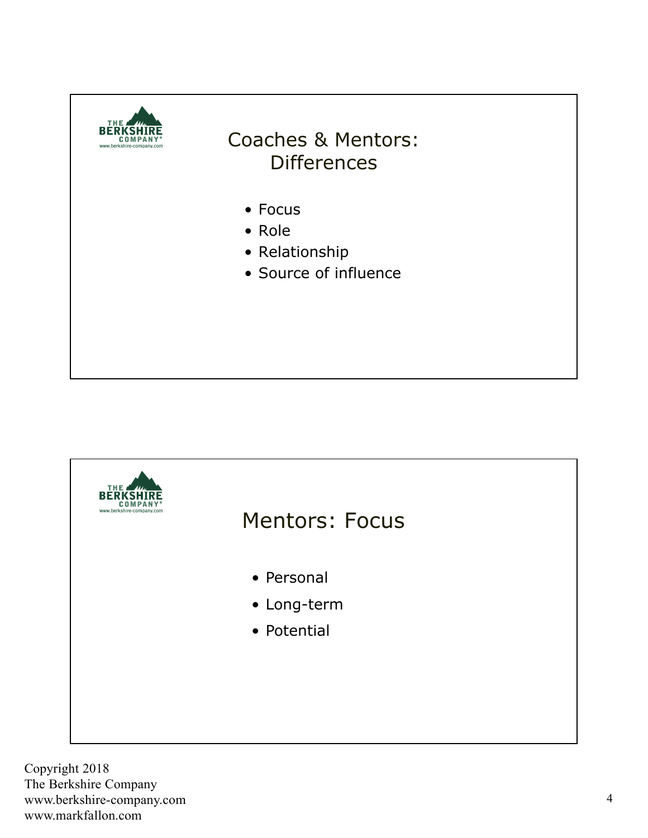

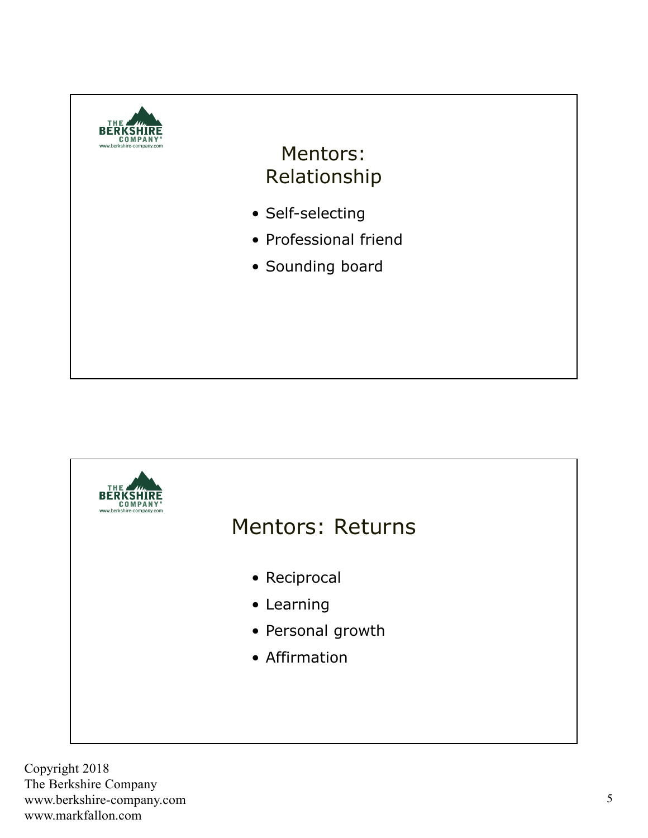

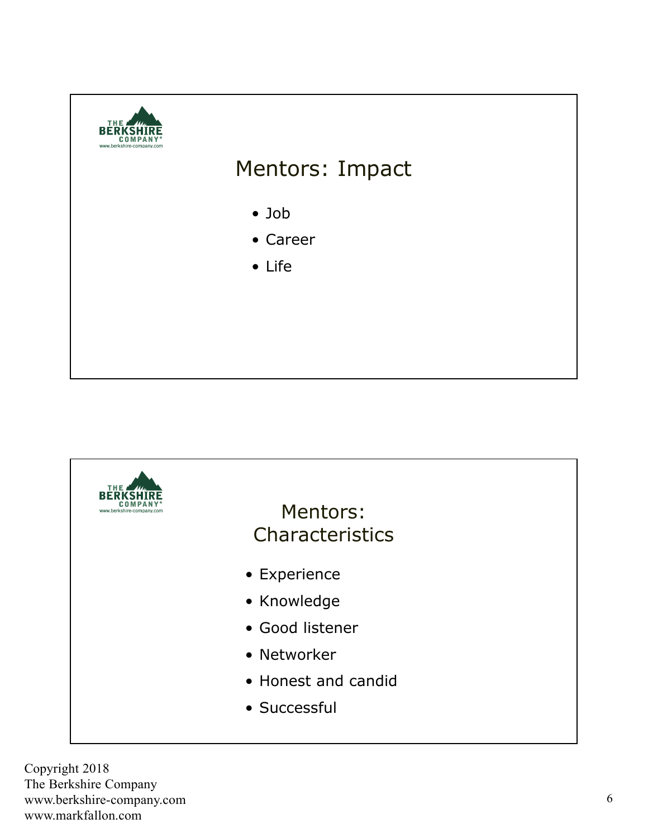

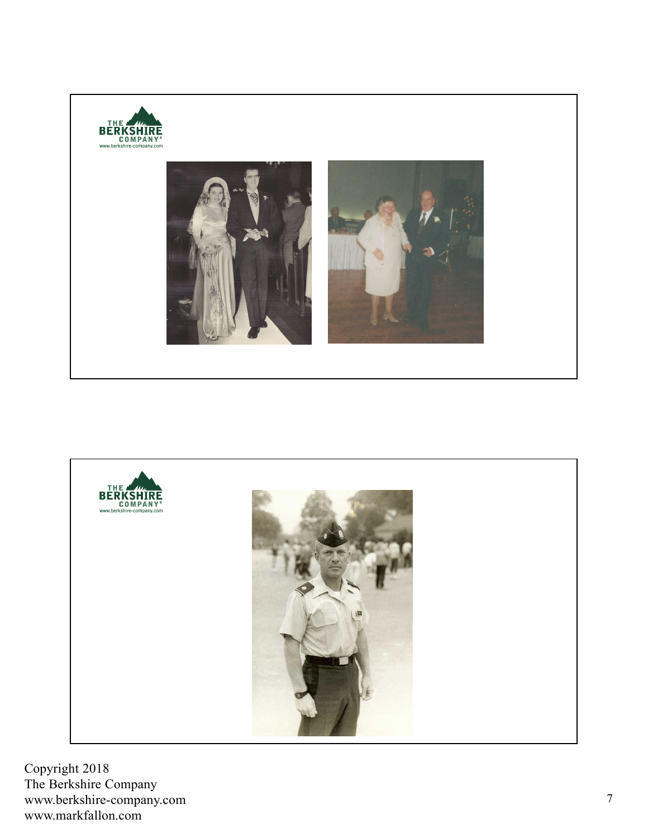

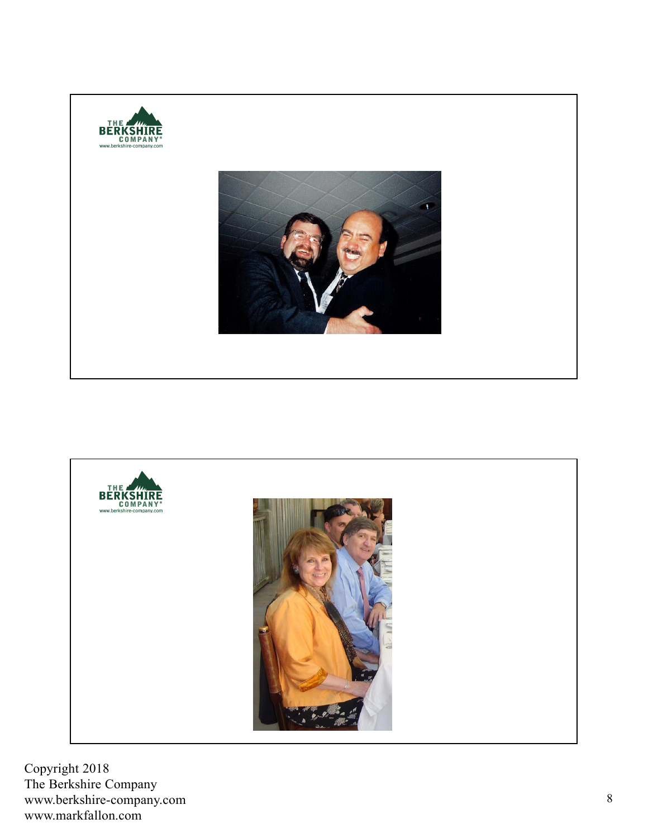

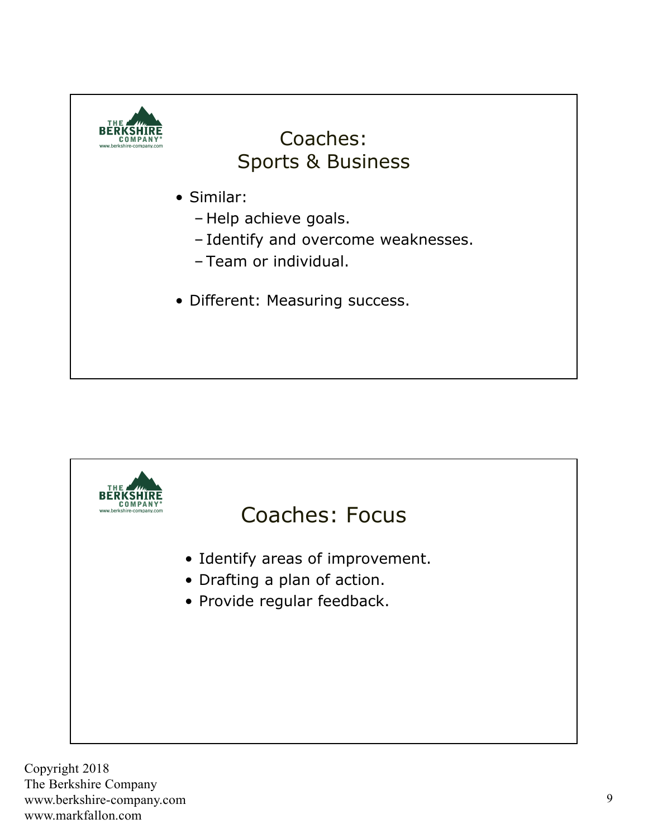

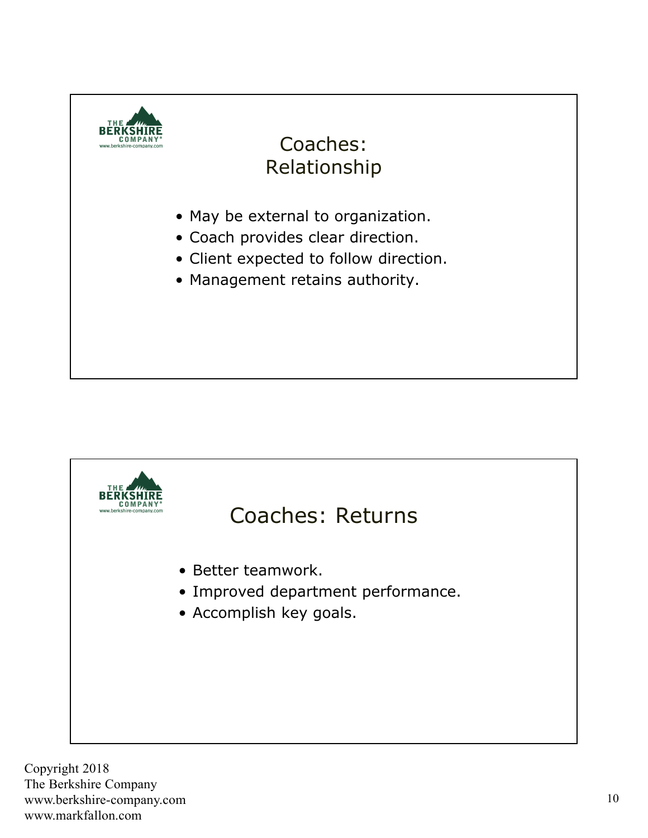

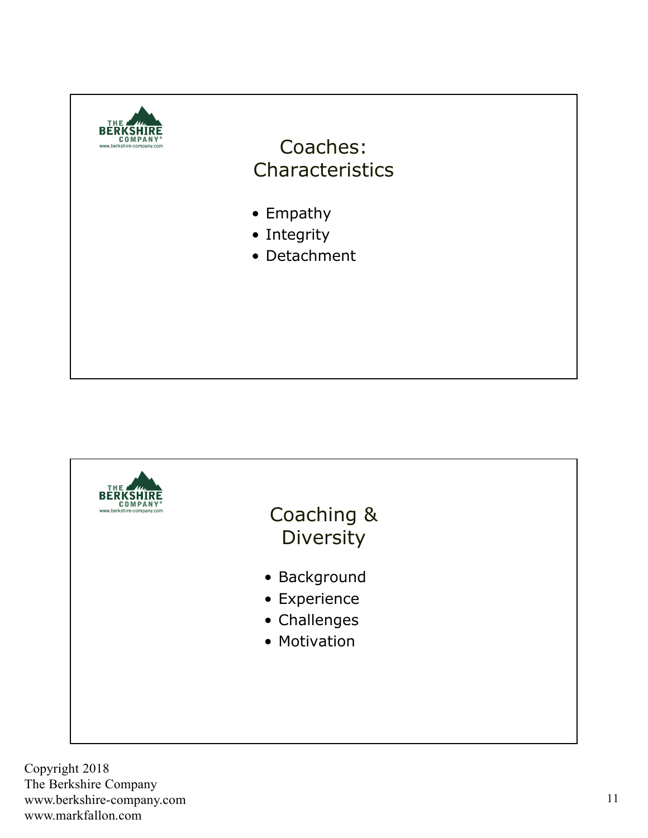

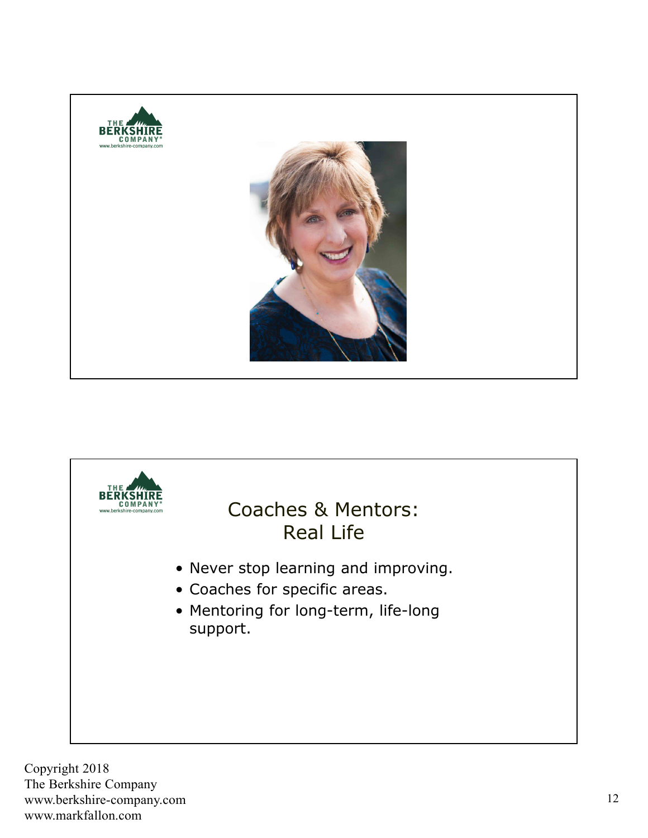